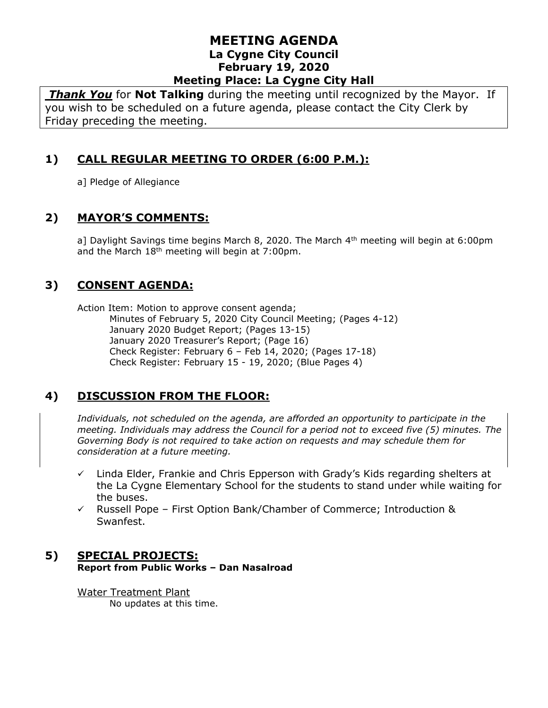#### **MEETING AGENDA La Cygne City Council February 19, 2020 Meeting Place: La Cygne City Hall**

*Thank You* for **Not Talking** during the meeting until recognized by the Mayor. If you wish to be scheduled on a future agenda, please contact the City Clerk by Friday preceding the meeting.

# **1) CALL REGULAR MEETING TO ORDER (6:00 P.M.):**

a] Pledge of Allegiance

### **2) MAYOR'S COMMENTS:**

a] Daylight Savings time begins March 8, 2020. The March 4<sup>th</sup> meeting will begin at 6:00pm and the March  $18<sup>th</sup>$  meeting will begin at 7:00pm.

### **3) CONSENT AGENDA:**

Action Item: Motion to approve consent agenda; Minutes of February 5, 2020 City Council Meeting; (Pages 4-12) January 2020 Budget Report; (Pages 13-15) January 2020 Treasurer's Report; (Page 16) Check Register: February 6 – Feb 14, 2020; (Pages 17-18) Check Register: February 15 - 19, 2020; (Blue Pages 4)

# **4) DISCUSSION FROM THE FLOOR:**

*Individuals, not scheduled on the agenda, are afforded an opportunity to participate in the meeting. Individuals may address the Council for a period not to exceed five (5) minutes. The Governing Body is not required to take action on requests and may schedule them for consideration at a future meeting.* 

- $\checkmark$  Linda Elder, Frankie and Chris Epperson with Grady's Kids regarding shelters at the La Cygne Elementary School for the students to stand under while waiting for the buses.
- ✓ Russell Pope First Option Bank/Chamber of Commerce; Introduction & Swanfest.

#### **5) SPECIAL PROJECTS: Report from Public Works – Dan Nasalroad**

Water Treatment Plant No updates at this time.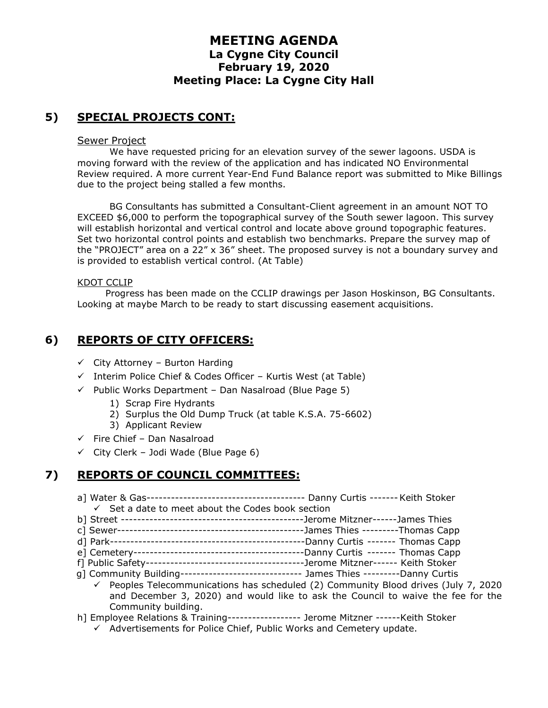### **MEETING AGENDA La Cygne City Council February 19, 2020 Meeting Place: La Cygne City Hall**

# **5) SPECIAL PROJECTS CONT:**

#### Sewer Project

We have requested pricing for an elevation survey of the sewer lagoons. USDA is moving forward with the review of the application and has indicated NO Environmental Review required. A more current Year-End Fund Balance report was submitted to Mike Billings due to the project being stalled a few months.

BG Consultants has submitted a Consultant-Client agreement in an amount NOT TO EXCEED \$6,000 to perform the topographical survey of the South sewer lagoon. This survey will establish horizontal and vertical control and locate above ground topographic features. Set two horizontal control points and establish two benchmarks. Prepare the survey map of the "PROJECT" area on a 22" x 36" sheet. The proposed survey is not a boundary survey and is provided to establish vertical control. (At Table)

#### KDOT CCLIP

Progress has been made on the CCLIP drawings per Jason Hoskinson, BG Consultants. Looking at maybe March to be ready to start discussing easement acquisitions.

### **6) REPORTS OF CITY OFFICERS:**

- $\checkmark$  City Attorney Burton Harding
- ✓ Interim Police Chief & Codes Officer Kurtis West (at Table)
- ✓ Public Works Department Dan Nasalroad (Blue Page 5)
	- 1) Scrap Fire Hydrants
	- 2) Surplus the Old Dump Truck (at table K.S.A. 75-6602)
	- 3) Applicant Review
- $\checkmark$  Fire Chief Dan Nasalroad
- $\checkmark$  City Clerk Jodi Wade (Blue Page 6)

# **7) REPORTS OF COUNCIL COMMITTEES:**

- a] Water & Gas--------------------------------------- Danny Curtis -------Keith Stoker  $\checkmark$  Set a date to meet about the Codes book section
- b] Street ---------------------------------------------Jerome Mitzner------James Thies
- c] Sewer----------------------------------------------James Thies ---------Thomas Capp
- d] Park------------------------------------------------Danny Curtis ------- Thomas Capp
- e] Cemetery------------------------------------------Danny Curtis ------- Thomas Capp
- f] Public Safety---------------------------------------Jerome Mitzner------ Keith Stoker
- g] Community Building------------------------------ James Thies ---------Danny Curtis  $\checkmark$  Peoples Telecommunications has scheduled (2) Community Blood drives (July 7, 2020 and December 3, 2020) and would like to ask the Council to waive the fee for the Community building.
- h] Employee Relations & Training------------------ Jerome Mitzner ------Keith Stoker
	- ✓ Advertisements for Police Chief, Public Works and Cemetery update.